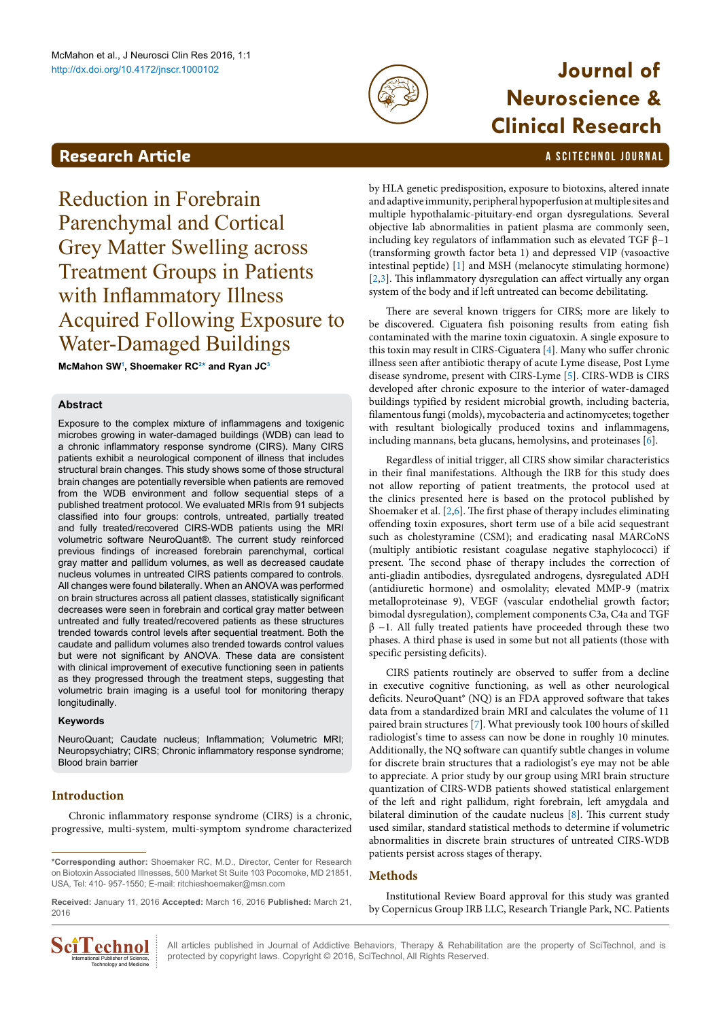

# **Neuroscience & Clinical Research**

# <span id="page-0-1"></span>**Research Article a Scittering Control in the Scittering Article in the Scittering Article in the Scittering Control in the Scittering Control in the Scittering Control in the Scittering Control in the Scittering Control**

Reduction in Forebrain Parenchymal and Cortical Grey Matter Swelling across Treatment Groups in Patients with Inflammatory Illness Acquired Following Exposure to Water-Damaged Buildings

**McMahon S[W1](#page-3-0) , Shoemaker R[C2](#page-3-1) [\\*](#page-0-0) and Ryan JC[3](#page-3-2)**

## **Abstract**

Exposure to the complex mixture of inflammagens and toxigenic microbes growing in water-damaged buildings (WDB) can lead to a chronic inflammatory response syndrome (CIRS). Many CIRS patients exhibit a neurological component of illness that includes structural brain changes. This study shows some of those structural brain changes are potentially reversible when patients are removed from the WDB environment and follow sequential steps of a published treatment protocol. We evaluated MRIs from 91 subjects classified into four groups: controls, untreated, partially treated and fully treated/recovered CIRS-WDB patients using the MRI volumetric software NeuroQuant®. The current study reinforced previous findings of increased forebrain parenchymal, cortical gray matter and pallidum volumes, as well as decreased caudate nucleus volumes in untreated CIRS patients compared to controls. All changes were found bilaterally. When an ANOVA was performed on brain structures across all patient classes, statistically significant decreases were seen in forebrain and cortical gray matter between untreated and fully treated/recovered patients as these structures trended towards control levels after sequential treatment. Both the caudate and pallidum volumes also trended towards control values but were not significant by ANOVA. These data are consistent with clinical improvement of executive functioning seen in patients as they progressed through the treatment steps, suggesting that volumetric brain imaging is a useful tool for monitoring therapy longitudinally.

#### **Keywords**

NeuroQuant; Caudate nucleus; Inflammation; Volumetric MRI; Neuropsychiatry; CIRS; Chronic inflammatory response syndrome; Blood brain barrier

## **Introduction**

Chronic inflammatory response syndrome (CIRS) is a chronic, progressive, multi-system, multi-symptom syndrome characterized

**Received:** January 11, 2016 **Accepted:** March 16, 2016 **Published:** March 21, 2016



by HLA genetic predisposition, exposure to biotoxins, altered innate and adaptive immunity, peripheral hypoperfusion at multiple sites and multiple hypothalamic-pituitary-end organ dysregulations. Several objective lab abnormalities in patient plasma are commonly seen, including key regulators of inflammation such as elevated TGF  $\beta$ -1 (transforming growth factor beta 1) and depressed VIP (vasoactive intestinal peptide) [[1](#page-3-3)] and MSH (melanocyte stimulating hormone) [[2](#page-3-4)[,3\]](#page-3-5). This inflammatory dysregulation can affect virtually any organ system of the body and if left untreated can become debilitating.

There are several known triggers for CIRS; more are likely to be discovered. Ciguatera fish poisoning results from eating fish contaminated with the marine toxin ciguatoxin. A single exposure to this toxin may result in CIRS-Ciguatera [\[4\]](#page-3-6). Many who suffer chronic illness seen after antibiotic therapy of acute Lyme disease, Post Lyme disease syndrome, present with CIRS-Lyme [[5\]](#page-3-7). CIRS-WDB is CIRS developed after chronic exposure to the interior of water-damaged buildings typified by resident microbial growth, including bacteria, filamentous fungi (molds), mycobacteria and actinomycetes; together with resultant biologically produced toxins and inflammagens, including mannans, beta glucans, hemolysins, and proteinases [[6](#page-3-8)].

Regardless of initial trigger, all CIRS show similar characteristics in their final manifestations. Although the IRB for this study does not allow reporting of patient treatments, the protocol used at the clinics presented here is based on the protocol published by Shoemaker et al. [[2](#page-3-4)[,6](#page-3-8)]. The first phase of therapy includes eliminating offending toxin exposures, short term use of a bile acid sequestrant such as cholestyramine (CSM); and eradicating nasal MARCoNS (multiply antibiotic resistant coagulase negative staphylococci) if present. The second phase of therapy includes the correction of anti-gliadin antibodies, dysregulated androgens, dysregulated ADH (antidiuretic hormone) and osmolality; elevated MMP-9 (matrix metalloproteinase 9), VEGF (vascular endothelial growth factor; bimodal dysregulation), complement components C3a, C4a and TGF  $β$  -1. All fully treated patients have proceeded through these two phases. A third phase is used in some but not all patients (those with specific persisting deficits).

CIRS patients routinely are observed to suffer from a decline in executive cognitive functioning, as well as other neurological deficits. NeuroQuant® (NQ) is an FDA approved software that takes data from a standardized brain MRI and calculates the volume of 11 paired brain structures [[7\]](#page-3-9). What previously took 100 hours of skilled radiologist's time to assess can now be done in roughly 10 minutes. Additionally, the NQ software can quantify subtle changes in volume for discrete brain structures that a radiologist's eye may not be able to appreciate. A prior study by our group using MRI brain structure quantization of CIRS-WDB patients showed statistical enlargement of the left and right pallidum, right forebrain, left amygdala and bilateral diminution of the caudate nucleus [[8](#page-3-10)]. This current study used similar, standard statistical methods to determine if volumetric abnormalities in discrete brain structures of untreated CIRS-WDB patients persist across stages of therapy.

## **Methods**

Institutional Review Board approval for this study was granted by Copernicus Group IRB LLC, Research Triangle Park, NC. Patients

All articles published in Journal of Addictive Behaviors, Therapy & Rehabilitation are the property of SciTechnol, and is  $\prod_{n \text{internal Pauli Error of Science}}$  All articles published in Journal of Addictive Behaviors, Therapy & Rehabilita<br>
International Publisher of Science,  $\vdots$  protected by copyright laws. Copyright © 2016, SciTechnol, All Rights Reserved.

<span id="page-0-0"></span>**<sup>\*</sup>Corresponding author:** Shoemaker RC, M.D., Director, Center for Research on Biotoxin Associated Illnesses, 500 Market St Suite 103 Pocomoke, MD 21851, USA, Tel: 410- 957-1550; E-mail: ritchieshoemaker@msn.com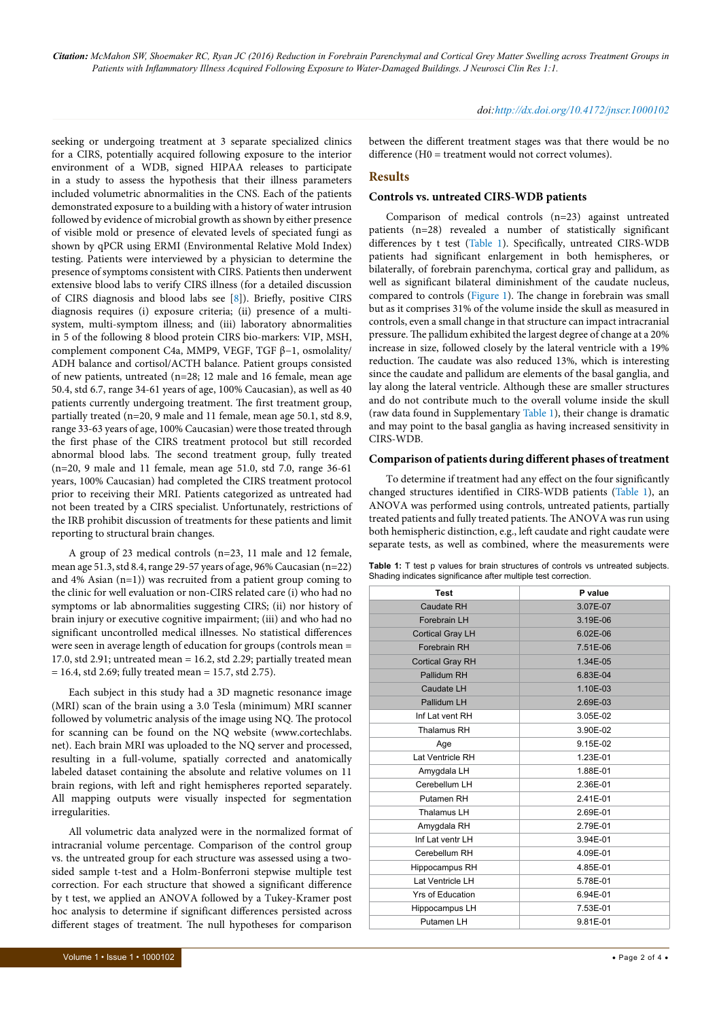*Citation: McMahon SW, Shoemaker RC, Ryan JC (2016) Reduction in Forebrain Parenchymal and Cortical Grey Matter Swelling across Treatment Groups in Patients with Inflammatory Illness Acquired Following Exposure to Water-Damaged Buildings. J Neurosci Clin Res 1:1.*

seeking or undergoing treatment at 3 separate specialized clinics for a CIRS, potentially acquired following exposure to the interior environment of a WDB, signed HIPAA releases to participate in a study to assess the hypothesis that their illness parameters included volumetric abnormalities in the CNS. Each of the patients demonstrated exposure to a building with a history of water intrusion followed by evidence of microbial growth as shown by either presence of visible mold or presence of elevated levels of speciated fungi as shown by qPCR using ERMI (Environmental Relative Mold Index) testing. Patients were interviewed by a physician to determine the presence of symptoms consistent with CIRS. Patients then underwent extensive blood labs to verify CIRS illness (for a detailed discussion of CIRS diagnosis and blood labs see [\[8](#page-3-10)]). Briefly, positive CIRS diagnosis requires (i) exposure criteria; (ii) presence of a multisystem, multi-symptom illness; and (iii) laboratory abnormalities in 5 of the following 8 blood protein CIRS bio-markers: VIP, MSH, complement component C4a, MMP9, VEGF, TGF β−1, osmolality/ ADH balance and cortisol/ACTH balance. Patient groups consisted of new patients, untreated (n=28; 12 male and 16 female, mean age 50.4, std 6.7, range 34-61 years of age, 100% Caucasian), as well as 40 patients currently undergoing treatment. The first treatment group, partially treated (n=20, 9 male and 11 female, mean age 50.1, std 8.9, range 33-63 years of age, 100% Caucasian) were those treated through the first phase of the CIRS treatment protocol but still recorded abnormal blood labs. The second treatment group, fully treated (n=20, 9 male and 11 female, mean age 51.0, std 7.0, range 36-61 years, 100% Caucasian) had completed the CIRS treatment protocol prior to receiving their MRI. Patients categorized as untreated had not been treated by a CIRS specialist. Unfortunately, restrictions of the IRB prohibit discussion of treatments for these patients and limit reporting to structural brain changes.

A group of 23 medical controls (n=23, 11 male and 12 female, mean age 51.3, std 8.4, range 29-57 years of age, 96% Caucasian (n=22) and 4% Asian (n=1)) was recruited from a patient group coming to the clinic for well evaluation or non-CIRS related care (i) who had no symptoms or lab abnormalities suggesting CIRS; (ii) nor history of brain injury or executive cognitive impairment; (iii) and who had no significant uncontrolled medical illnesses. No statistical differences were seen in average length of education for groups (controls mean = 17.0, std 2.91; untreated mean = 16.2, std 2.29; partially treated mean  $= 16.4$ , std 2.69; fully treated mean  $= 15.7$ , std 2.75).

Each subject in this study had a 3D magnetic resonance image (MRI) scan of the brain using a 3.0 Tesla (minimum) MRI scanner followed by volumetric analysis of the image using NQ. The protocol for scanning can be found on the NQ website (www.cortechlabs. net). Each brain MRI was uploaded to the NQ server and processed, resulting in a full-volume, spatially corrected and anatomically labeled dataset containing the absolute and relative volumes on 11 brain regions, with left and right hemispheres reported separately. All mapping outputs were visually inspected for segmentation irregularities.

All volumetric data analyzed were in the normalized format of intracranial volume percentage. Comparison of the control group vs. the untreated group for each structure was assessed using a twosided sample t-test and a Holm-Bonferroni stepwise multiple test correction. For each structure that showed a significant difference by t test, we applied an ANOVA followed by a Tukey-Kramer post hoc analysis to determine if significant differences persisted across different stages of treatment. The null hypotheses for comparison

#### *doi:http://dx.doi.org/10.4172/jnscr.1000102*

between the different treatment stages was that there would be no difference (H0 = treatment would not correct volumes).

#### **Results**

#### **Controls vs. untreated CIRS-WDB patients**

Comparison of medical controls (n=23) against untreated patients (n=28) revealed a number of statistically significant differences by t test [\(Table 1](#page-1-0)). Specifically, untreated CIRS-WDB patients had significant enlargement in both hemispheres, or bilaterally, of forebrain parenchyma, cortical gray and pallidum, as well as significant bilateral diminishment of the caudate nucleus, compared to controls [\(Figure 1](#page-2-0)). The change in forebrain was small but as it comprises 31% of the volume inside the skull as measured in controls, even a small change in that structure can impact intracranial pressure. The pallidum exhibited the largest degree of change at a 20% increase in size, followed closely by the lateral ventricle with a 19% reduction. The caudate was also reduced 13%, which is interesting since the caudate and pallidum are elements of the basal ganglia, and lay along the lateral ventricle. Although these are smaller structures and do not contribute much to the overall volume inside the skull (raw data found in Supplementary [Table 1\)](#page-1-0), their change is dramatic and may point to the basal ganglia as having increased sensitivity in CIRS-WDB.

### **Comparison of patients during different phases of treatment**

To determine if treatment had any effect on the four significantly changed structures identified in CIRS-WDB patients (Table 1), an ANOVA was performed using controls, untreated patients, partially treated patients and fully treated patients. The ANOVA was run using both hemispheric distinction, e.g., left caudate and right caudate were separate tests, as well as combined, where the measurements were

<span id="page-1-0"></span>

| <b>Table 1:</b> T test p values for brain structures of controls vs untreated subjects. |  |  |  |
|-----------------------------------------------------------------------------------------|--|--|--|
| Shading indicates significance after multiple test correction.                          |  |  |  |

| <b>Test</b>             | P value      |  |  |  |  |  |
|-------------------------|--------------|--|--|--|--|--|
| Caudate RH              | 3.07E-07     |  |  |  |  |  |
| Forebrain LH            | 3.19E-06     |  |  |  |  |  |
| <b>Cortical Gray LH</b> | $6.02E - 06$ |  |  |  |  |  |
| Forebrain RH            | 7.51E-06     |  |  |  |  |  |
| <b>Cortical Gray RH</b> | 1.34E-05     |  |  |  |  |  |
| Pallidum RH             | 6.83E-04     |  |  |  |  |  |
| Caudate LH              | 1.10E-03     |  |  |  |  |  |
| Pallidum LH             | 2.69E-03     |  |  |  |  |  |
| Inf Lat vent RH         | 3.05E-02     |  |  |  |  |  |
| Thalamus RH             | 3.90E-02     |  |  |  |  |  |
| Age                     | 9.15E-02     |  |  |  |  |  |
| Lat Ventricle RH        | 1.23E-01     |  |  |  |  |  |
| Amygdala LH             | 1.88E-01     |  |  |  |  |  |
| Cerebellum LH           | 2.36E-01     |  |  |  |  |  |
| Putamen RH              | 2.41E-01     |  |  |  |  |  |
| Thalamus LH             | 2.69E-01     |  |  |  |  |  |
| Amygdala RH             | 2.79E-01     |  |  |  |  |  |
| Inf Lat ventr LH        | 3.94E-01     |  |  |  |  |  |
| Cerebellum RH           | 4.09E-01     |  |  |  |  |  |
| Hippocampus RH          | 4.85E-01     |  |  |  |  |  |
| Lat Ventricle LH        | 5.78E-01     |  |  |  |  |  |
| Yrs of Education        | 6.94E-01     |  |  |  |  |  |
| Hippocampus LH          | 7.53E-01     |  |  |  |  |  |
| Putamen LH              | 9.81E-01     |  |  |  |  |  |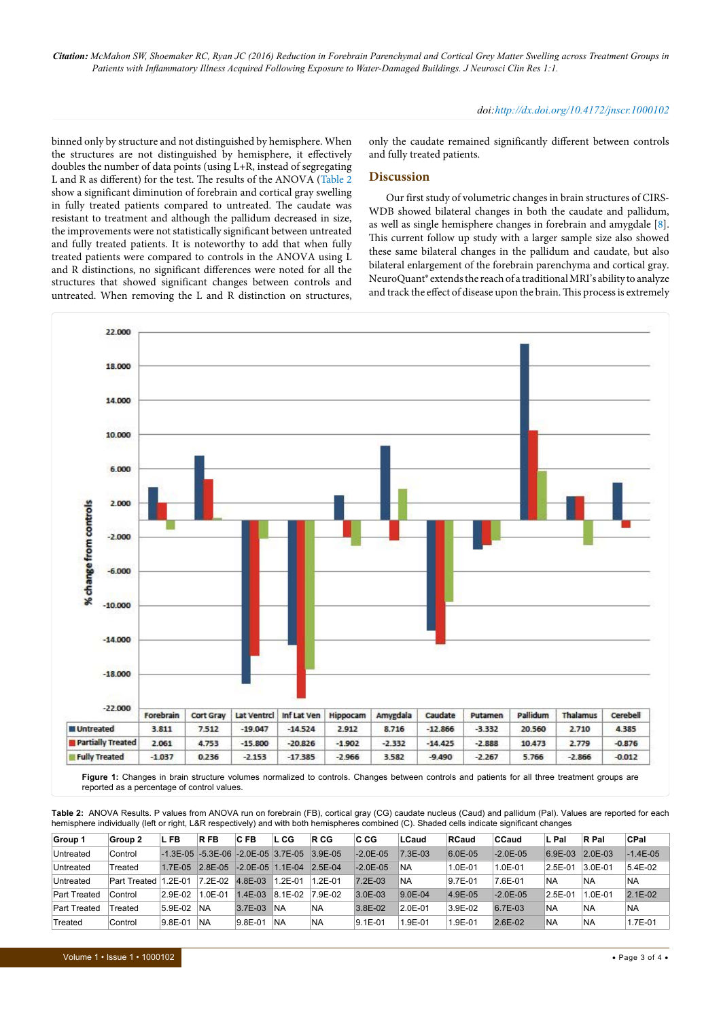*Citation: McMahon SW, Shoemaker RC, Ryan JC (2016) Reduction in Forebrain Parenchymal and Cortical Grey Matter Swelling across Treatment Groups in Patients with Inflammatory Illness Acquired Following Exposure to Water-Damaged Buildings. J Neurosci Clin Res 1:1.*

#### *doi:http://dx.doi.org/10.4172/jnscr.1000102*

binned only by structure and not distinguished by hemisphere. When the structures are not distinguished by hemisphere, it effectively doubles the number of data points (using L+R, instead of segregating L and R as different) for the test. The results of the ANOVA ([Table 2](#page-2-1) show a significant diminution of forebrain and cortical gray swelling in fully treated patients compared to untreated. The caudate was resistant to treatment and although the pallidum decreased in size, the improvements were not statistically significant between untreated and fully treated patients. It is noteworthy to add that when fully treated patients were compared to controls in the ANOVA using L and R distinctions, no significant differences were noted for all the structures that showed significant changes between controls and untreated. When removing the L and R distinction on structures,

only the caudate remained significantly different between controls and fully treated patients.

#### **Discussion**

Our first study of volumetric changes in brain structures of CIRS-WDB showed bilateral changes in both the caudate and pallidum, as well as single hemisphere changes in forebrain and amygdale [\[8\]](#page-3-10). This current follow up study with a larger sample size also showed these same bilateral changes in the pallidum and caudate, but also bilateral enlargement of the forebrain parenchyma and cortical gray. NeuroQuant® extends the reach of a traditional MRI's ability to analyze and track the effect of disease upon the brain. This process is extremely

<span id="page-2-0"></span>

reported as a percentage of control values.

<span id="page-2-1"></span>**Table 2:** ANOVA Results. P values from ANOVA run on forebrain (FB), cortical gray (CG) caudate nucleus (Caud) and pallidum (Pal). Values are reported for each hemisphere individually (left or right, L&R respectively) and with both hemispheres combined (C). Shaded cells indicate significant changes

| Group 1             | Group 2      | L FB                                                   | <b>RFB</b> | CFB         | L CG       | R CG      | <b>CCG</b>    | LCaud       | <b>RCaud</b> | CCaud         | L Pal     | R Pal       | CPal       |
|---------------------|--------------|--------------------------------------------------------|------------|-------------|------------|-----------|---------------|-------------|--------------|---------------|-----------|-------------|------------|
| Untreated           | Control      | $-1.3E - 0.5$ $-5.3E - 0.6$ $-2.0E - 0.5$ $3.7E - 0.5$ |            |             |            | $3.9E-05$ | $-2.0E-05$    | $7.3E-03$   | 6.0E-05      | $-2.0E - 0.5$ | $6.9E-03$ | $2.0E - 03$ | $-1.4E-05$ |
| Untreated           | Treated      | $17F-0.5$                                              | $28F-05$   | $-2.0E-0.5$ | $.1E-04$   | $2.5E-04$ | $-2.0E - 0.5$ | NA          | 1.0E-01      | $1.0E - 01$   | $2.5E-01$ | $3.0E - 01$ | 5.4E-02    |
| Untreated           | Part Treated | 2F-01                                                  | $7.2E-02$  | $4.8E - 03$ | $.2E - 01$ | L2E-01    | $7.2E-03$     | <b>NA</b>   | 9.7E-01      | 7.6E-01       | <b>NA</b> | <b>NA</b>   | NA.        |
| <b>Part Treated</b> | Control      | 2.9E-02                                                | $.0E-01$   | $1.4E-03$   | 8.1E-02    | 7.9E-02   | $3.0E - 03$   | $9.0E - 04$ | 4.9E-05      | $-2.0E - 0.5$ | $2.5E-01$ | $1.0E - 01$ | $2.1E-02$  |
| <b>Part Treated</b> | Treated      | $5.9E-02$                                              | <b>NA</b>  | $3.7E-03$   | INA        | 'NA       | 3.8E-02       | $2.0E - 01$ | 3.9E-02      | 6.7E-03       | <b>NA</b> | 'NA         | <b>NA</b>  |
| Treated             | Control      | 9.8E-01                                                | <b>NA</b>  | 9.8E-01     | <b>NA</b>  | <b>NA</b> | $9.1E - 01$   | $.9E-01$    | 1.9E-01      | $2.6E-02$     | <b>NA</b> | <b>NA</b>   | 1.7E-01    |